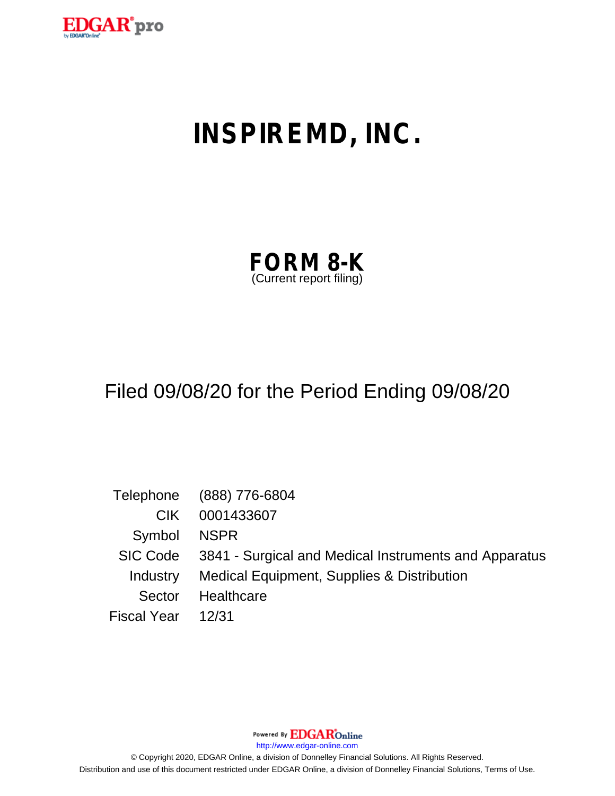

# **INSPIREMD, INC.**

| <b>FORM 8-K</b>         |  |
|-------------------------|--|
| (Current report filing) |  |

## Filed 09/08/20 for the Period Ending 09/08/20

|                    | Telephone (888) 776-6804                                       |
|--------------------|----------------------------------------------------------------|
| CIK.               | 0001433607                                                     |
| Symbol NSPR        |                                                                |
|                    | SIC Code 3841 - Surgical and Medical Instruments and Apparatus |
|                    | Industry Medical Equipment, Supplies & Distribution            |
| Sector             | Healthcare                                                     |
| Fiscal Year  12/31 |                                                                |

Powered By **EDGAR**Online

http://www.edgar-online.com

© Copyright 2020, EDGAR Online, a division of Donnelley Financial Solutions. All Rights Reserved. Distribution and use of this document restricted under EDGAR Online, a division of Donnelley Financial Solutions, Terms of Use.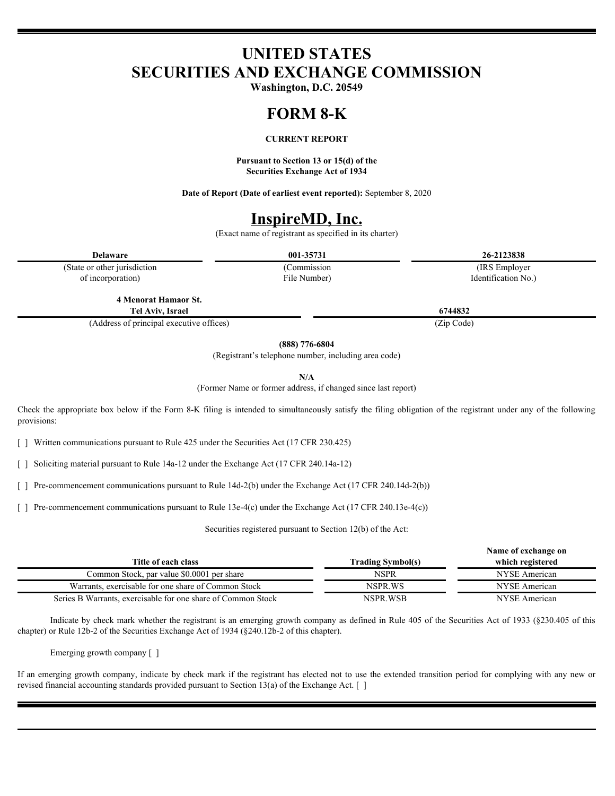## **UNITED STATES SECURITIES AND EXCHANGE COMMISSION**

**Washington, D.C. 20549**

#### **FORM 8-K**

#### **CURRENT REPORT**

**Pursuant to Section 13 or 15(d) of the Securities Exchange Act of 1934**

**Date of Report (Date of earliest event reported):** September 8, 2020

## **InspireMD, Inc.**

(Exact name of registrant as specified in its charter)

**Delaware 001-35731 26-2123838**

(State or other jurisdiction of incorporation)

File Number)

(Commission (IRS Employer Identification No.)

**4 Menorat Hamaor St. Tel Aviv, Israel 6744832**

(Address of principal executive offices) (Zip Code)

**(888) 776-6804**

(Registrant's telephone number, including area code)

**N/A**

(Former Name or former address, if changed since last report)

Check the appropriate box below if the Form 8-K filing is intended to simultaneously satisfy the filing obligation of the registrant under any of the following provisions:

[ ] Written communications pursuant to Rule 425 under the Securities Act (17 CFR 230.425)

[ ] Soliciting material pursuant to Rule 14a-12 under the Exchange Act (17 CFR 240.14a-12)

[ ] Pre-commencement communications pursuant to Rule 14d-2(b) under the Exchange Act (17 CFR 240.14d-2(b))

[ ] Pre-commencement communications pursuant to Rule 13e-4(c) under the Exchange Act (17 CFR 240.13e-4(c))

Securities registered pursuant to Section 12(b) of the Act:

|                                                              | Name of exchange on      |                  |  |
|--------------------------------------------------------------|--------------------------|------------------|--|
| Title of each class                                          | <b>Frading Symbol(s)</b> | which registered |  |
| Common Stock, par value \$0.0001 per share                   | NSPR                     | NYSE American    |  |
| Warrants, exercisable for one share of Common Stock          | NSPR WS                  | NYSE American    |  |
| Series B Warrants, exercisable for one share of Common Stock | NSPR.WSB                 | NYSE American    |  |

Indicate by check mark whether the registrant is an emerging growth company as defined in Rule 405 of the Securities Act of 1933 (§230.405 of this chapter) or Rule 12b-2 of the Securities Exchange Act of 1934 (§240.12b-2 of this chapter).

Emerging growth company [ ]

If an emerging growth company, indicate by check mark if the registrant has elected not to use the extended transition period for complying with any new or revised financial accounting standards provided pursuant to Section 13(a) of the Exchange Act. [ ]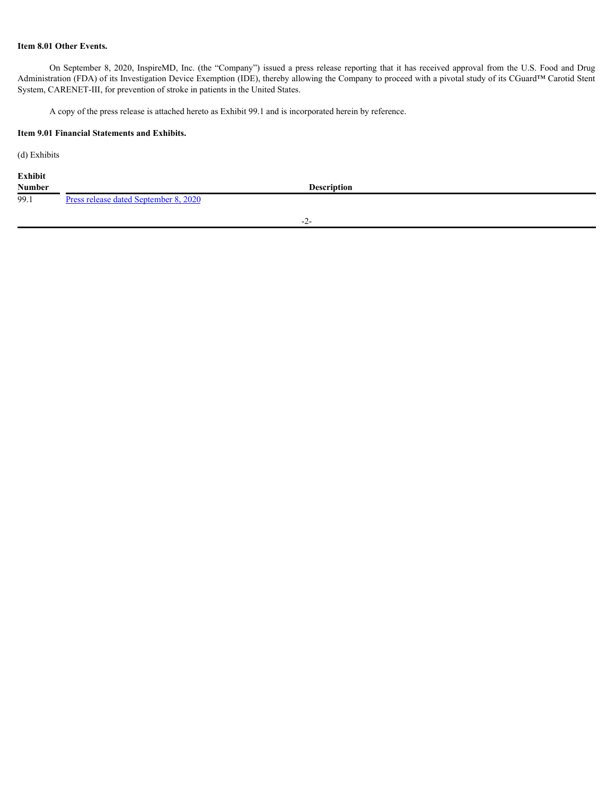### **Item 8.01 Other Events.**

On September 8, 2020, InspireMD, Inc. (the "Company") issued a press release reporting that it has received approval from the U.S. Food and Drug Administration (FDA) of its Investigation Device Exemption (IDE), thereby allowing the Company to proceed with a pivotal study of its CGuard™ Carotid Stent System, CARENET-III, for prevention of stroke in patients in the United States.

A copy of the press release is attached hereto as Exhibit 99.1 and is incorporated herein by reference.

### **Item 9.01 Financial Statements and Exhibits.**

(d) Exhibits

| Exhibit       |                                              |  |
|---------------|----------------------------------------------|--|
| <b>Number</b> | <b>Description</b>                           |  |
| 99.1          | <b>Press release dated September 8, 2020</b> |  |

-2-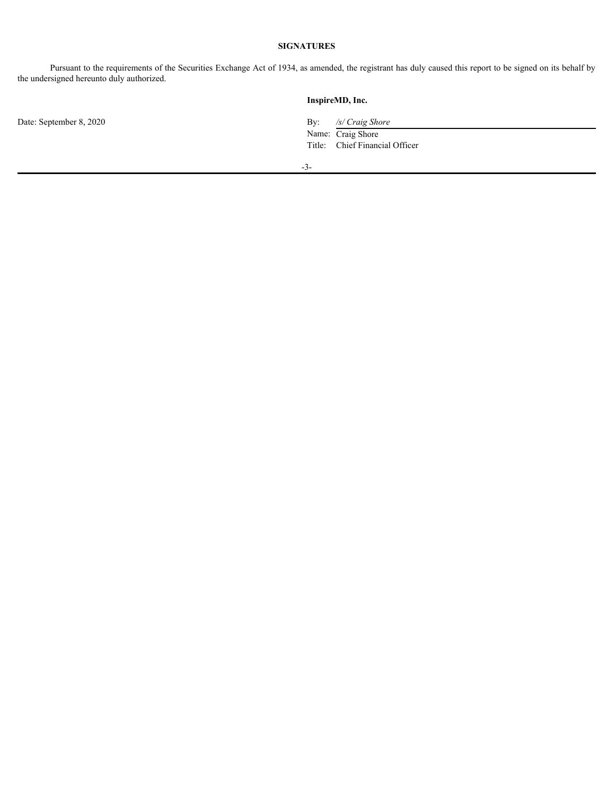### **SIGNATURES**

Pursuant to the requirements of the Securities Exchange Act of 1934, as amended, the registrant has duly caused this report to be signed on its behalf by the undersigned hereunto duly authorized.

**InspireMD, Inc.** Date: September 8, 2020 By: */s/ Craig Shore* Name: Craig Shore Title: Chief Financial Officer -3-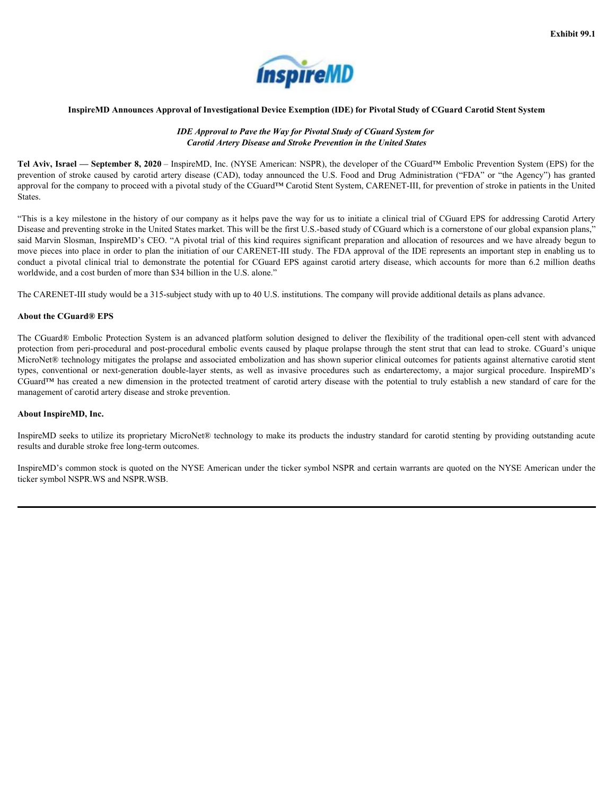

#### **InspireMD Announces Approval of Investigational Device Exemption (IDE) for Pivotal Study of CGuard Carotid Stent System**

### *IDE Approval to Pave the Way for Pivotal Study of CGuard System for Carotid Artery Disease and Stroke Prevention in the United States*

**Tel Aviv, Israel — September 8, 2020** – InspireMD, Inc. (NYSE American: NSPR), the developer of the CGuard™ Embolic Prevention System (EPS) for the approval for the company to proceed with a pivotal study of the CGuard™ Carotid Stent System, CARENET-III, for prevention of stroke in patients in the United States.

**Exhibit 99.1**<br> **Exhibit 99.1**<br> **InspireVID** Announces Approval of Investigational Device Exemption (IDE) for Pivotal Study of CGuard Carotid Stent System<br> *IDE Approval to Pave the Way for Pivotal Study of CGuard System* "This is a key milestone in the history of our company as it helps pave the way for us to initiate a clinical trial of CGuard EPS for addressing Carotid Artery Disease and preventing stroke in the United States market. This will be the first U.S.-based study of CGuard which is a cornerstone of our global expansion plans," said Marvin Slosman, InspireMD's CEO. "A pivotal trial of this kind requires significant preparation and allocation of resources and we have already begun to move pieces into place in order to plan the initiation of our CARENET-III study. The FDA approval of the IDE represents an important step in enabling us to Exhibit 99.1<br>
ImpireMD Announces Approval of Investigational Device Exemption (IDE) for Fivotal Study of CGuard Carotid Stett System<br>
Tel Aviv, Israel — September 8, 2020 - InspireMD, Inc. (NYSE: American NSPR), the devel worldwide, and a cost burden of more than \$34 billion in the U.S. alone."

The CARENET-III study would be a 315-subject study with up to 40 U.S. institutions. The company will provide additional details as plans advance.

#### **About the CGuard® EPS**

<span id="page-4-0"></span>**Exhibit 99.1**<br> **Examples Approved and Protection Bureau Protection IP (Section 1997) CCount System Carolic Section System CEO**<br> **Example Carolic Array Disease and Stroke Protection in the United States of Count of Embo** protection from peri-procedural and post-procedural embolic events caused by plaque prolapse through the stent strut that can lead to stroke. CGuard's unique MicroNet® technology mitigates the prolapse and associated embolization and has shown superior clinical outcomes for patients against alternative carotid stent **THE SPIT CONTENT AND THE CONVENTION CONVENTION CONVENTION (CONVENTION OF THE CONVENTION CONVENTION CONVENTION CONVENTION (CONVENTION CONVENTION CONVENTION CONVENTION (CONVENTION CONVENTION CONVENTION (CONVENTION CONVENTI** CGuard™ has created a new dimension in the protected treatment of carotid artery disease with the potential to truly establish a new standard of care for the management of carotid artery disease and stroke prevention.

#### **About InspireMD, Inc.**

InspireMD seeks to utilize its proprietary MicroNet® technology to make its products the industry standard for carotid stenting by providing outstanding acute results and durable stroke free long-term outcomes.

InspireMD's common stock is quoted on the NYSE American under the ticker symbol NSPR and certain warrants are quoted on the NYSE American under the ticker symbol NSPR.WS and NSPR.WSB.